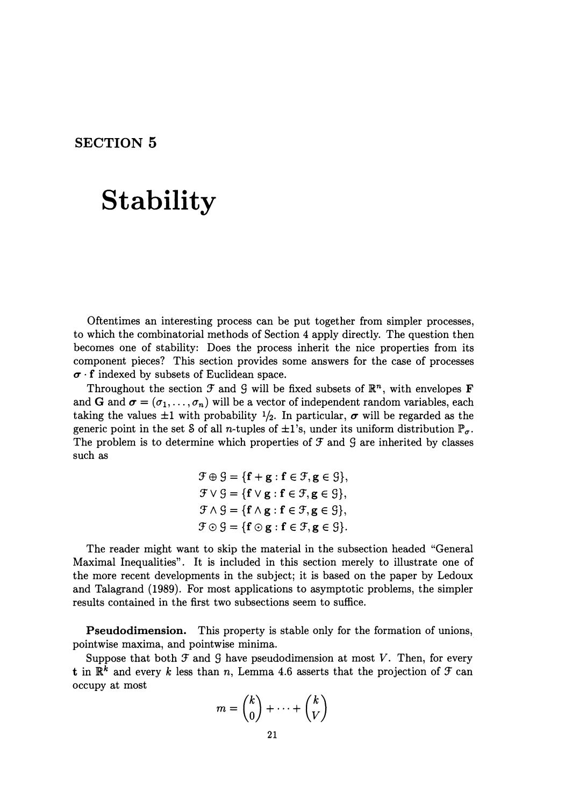## **SECTION 5**

# **Stability**

Oftentimes an interesting process can be put together from simpler processes, to which the combinatorial methods of Section 4 apply directly. The question then becomes one of stability: Does the process inherit the nice properties from its component pieces? This section provides some answers for the case of processes  $\sigma$  **f** indexed by subsets of Euclidean space.

Throughout the section  $\mathcal F$  and  $\mathcal G$  will be fixed subsets of  $\mathbb{R}^n$ , with envelopes **F** and **G** and  $\sigma = (\sigma_1, \ldots, \sigma_n)$  will be a vector of independent random variables, each taking the values  $\pm 1$  with probability  $\frac{1}{2}$ . In particular,  $\sigma$  will be regarded as the generic point in the set S of all n-tuples of  $\pm 1$ 's, under its uniform distribution  $\mathbb{P}_{\sigma}$ . The problem is to determine which properties of  $\mathcal F$  and  $\mathcal G$  are inherited by classes such as

$$
\mathcal{F} \oplus \mathcal{G} = \{ \mathbf{f} + \mathbf{g} : \mathbf{f} \in \mathcal{F}, \mathbf{g} \in \mathcal{G} \},
$$
  
\n
$$
\mathcal{F} \vee \mathcal{G} = \{ \mathbf{f} \vee \mathbf{g} : \mathbf{f} \in \mathcal{F}, \mathbf{g} \in \mathcal{G} \},
$$
  
\n
$$
\mathcal{F} \wedge \mathcal{G} = \{ \mathbf{f} \wedge \mathbf{g} : \mathbf{f} \in \mathcal{F}, \mathbf{g} \in \mathcal{G} \},
$$
  
\n
$$
\mathcal{F} \odot \mathcal{G} = \{ \mathbf{f} \odot \mathbf{g} : \mathbf{f} \in \mathcal{F}, \mathbf{g} \in \mathcal{G} \}.
$$

The reader might want to skip the material in the subsection headed "General Maximal Inequalities". It is included in this section merely to illustrate one of the more recent developments in the subject; it is based on the paper by Ledoux and Talagrand (1989). For most applications to asymptotic problems, the simpler results contained in the first two subsections seem to suffice.

**Pseudodimension.** This property is stable only for the formation of unions, pointwise maxima, and pointwise minima.

Suppose that both  $\mathcal F$  and  $\mathcal G$  have pseudodimension at most *V*. Then, for every **t** in  $\mathbb{R}^k$  and every *k* less than *n*, Lemma 4.6 asserts that the projection of  $\mathcal{F}$  can occupy at most

$$
m = \binom{k}{0} + \dots + \binom{k}{V}
$$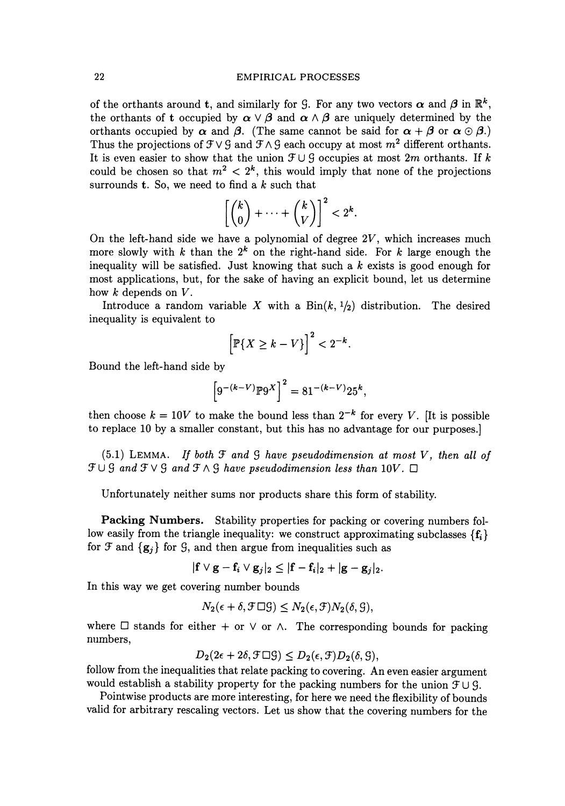### 22 EMPIRICAL PROCESSES

of the orthants around t, and similarly for G. For any two vectors  $\alpha$  and  $\beta$  in  $\mathbb{R}^k$ , the orthants of t occupied by  $\alpha \vee \beta$  and  $\alpha \wedge \beta$  are uniquely determined by the orthants occupied by  $\alpha$  and  $\beta$ . (The same cannot be said for  $\alpha + \beta$  or  $\alpha \odot \beta$ .) Thus the projections of  $\mathcal{F} \vee \mathcal{G}$  and  $\mathcal{F} \wedge \mathcal{G}$  each occupy at most  $m^2$  different orthants. It is even easier to show that the union  $\mathcal{F} \cup \mathcal{G}$  occupies at most 2m orthants. If *k* could be chosen so that  $m^2 < 2^k$ , this would imply that none of the projections surrounds t. So, we need to find a *k* such that

$$
\left[\binom{k}{0}+\cdots+\binom{k}{V}\right]^2<2^k.
$$

On the left-hand side we have a polynomial of degree *2V,* which increases much more slowly with  $k$  than the  $2^k$  on the right-hand side. For  $k$  large enough the inequality will be satisfied. Just knowing that such a *k* exists is good enough for most applications, but, for the sake of having an explicit bound, let us determine how *k* depends on *V.* 

Introduce a random variable X with a  $Bin(k, 1/2)$  distribution. The desired inequality is equivalent to

$$
\left[\mathbb{P}\{X \ge k - V\}\right]^2 < 2^{-k}.
$$

Bound the left-hand side by

$$
\[9^{-(k-V)}\mathbb{P}9^X\]^2 = 81^{-(k-V)}25^k,
$$

then choose  $k = 10V$  to make the bound less than  $2^{-k}$  for every *V*. [It is possible to replace 10 by a smaller constant, but this has no advantage for our purposes.]

(5.1) LEMMA. *If both* '3' *and* 9 *have pseudodimension at most V, then all of*   $\mathcal{F} \cup \mathcal{G}$  and  $\mathcal{F} \vee \mathcal{G}$  and  $\mathcal{F} \wedge \mathcal{G}$  have pseudodimension less than 10V.  $\Box$ 

Unfortunately neither sums nor products share this form of stability.

Packing Numbers. Stability properties for packing or covering numbers follow easily from the triangle inequality: we construct approximating subclasses  ${f_i}$ for F and  $\{g_i\}$  for G, and then argue from inequalities such as

 $|f \vee g - f_i \vee g_j|_2 \leq |f - f_i|_2 + |g - g_j|_2.$ 

In this way we get covering number bounds

$$
N_2(\epsilon + \delta, \mathcal{F} \Box \mathcal{G}) \leq N_2(\epsilon, \mathcal{F}) N_2(\delta, \mathcal{G}),
$$

where  $\Box$  stands for either + or  $\lor$  or  $\land$ . The corresponding bounds for packing numbers,

 $D_2(2\epsilon + 2\delta, \mathcal{F} \Box \mathcal{G}) \leq D_2(\epsilon, \mathcal{F})D_2(\delta, \mathcal{G}),$ 

follow from the inequalities that relate packing to covering. An even easier argument would establish a stability property for the packing numbers for the union  $\mathcal{F} \cup \mathcal{G}$ .

Pointwise products are more interesting, for here we need the flexibility of bounds valid for arbitrary rescaling vectors. Let us show that the covering numbers for the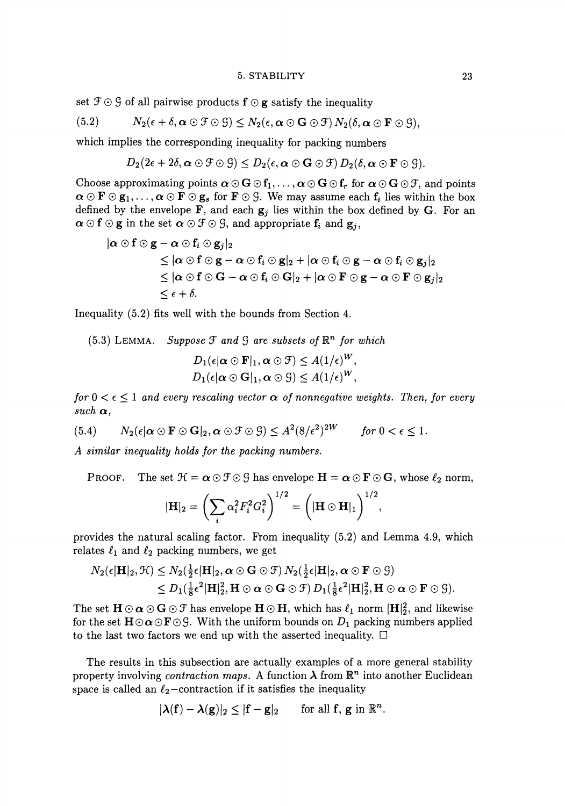#### 5. STABILITY 23

set  $\mathfrak{F} \odot \mathfrak{G}$  of all pairwise products  $\mathbf{f} \odot \mathbf{g}$  satisfy the inequality

(5.2) 
$$
N_2(\epsilon + \delta, \alpha \odot \mathcal{F} \odot \mathcal{G}) \leq N_2(\epsilon, \alpha \odot \mathbf{G} \odot \mathcal{F}) N_2(\delta, \alpha \odot \mathbf{F} \odot \mathcal{G}),
$$

which implies the corresponding inequality for packing numbers

$$
D_2(2\epsilon+2\delta,\boldsymbol{\alpha}\odot\mathfrak{F}\odot\mathfrak{G})\leq D_2(\epsilon,\boldsymbol{\alpha}\odot\mathbf{G}\odot\mathfrak{F})\,D_2(\delta,\boldsymbol{\alpha}\odot\mathbf{F}\odot\mathfrak{G}).
$$

Choose approximating points  $\alpha \odot G \odot f_1, \ldots, \alpha \odot G \odot f_r$  for  $\alpha \odot G \odot f_r$ , and points  $\alpha \odot \mathbf{F} \odot \mathbf{g}_1, \ldots, \alpha \odot \mathbf{F} \odot \mathbf{g}_s$  for  $\mathbf{F} \odot \mathcal{G}$ . We may assume each  $f_i$  lies within the box defined by the envelope **F**, and each  $g_i$  lies within the box defined by G. For an  $\alpha \odot f \odot g$  in the set  $\alpha \odot f \odot g$ , and appropriate  $f_i$  and  $g_j$ ,

$$
\begin{aligned} |\alpha \odot f \odot g - \alpha \odot f_i \odot g_j|_2 \\ &\leq |\alpha \odot f \odot g - \alpha \odot f_i \odot g|_2 + |\alpha \odot f_i \odot g - \alpha \odot f_i \odot g_j|_2 \\ &\leq |\alpha \odot f \odot G - \alpha \odot f_i \odot G|_2 + |\alpha \odot F \odot g - \alpha \odot F \odot g_j|_2 \\ &\leq \epsilon + \delta. \end{aligned}
$$

Inequality (5.2) fits well with the bounds from Section 4.

 $(5.3)$  LEMMA. *Suppose*  $\mathcal F$  and  $\mathcal G$  are subsets of  $\mathbb{R}^n$  for which  $D_1(\epsilon | \alpha \odot \mathbf{F}|_1, \alpha \odot \mathbf{F}) \leq A(1/\epsilon)^W,$  $D_1(\epsilon|\boldsymbol{\alpha} \odot \mathbf{G}|_1,\boldsymbol{\alpha} \odot \mathbf{G}) \leq A(1/\epsilon)^W$ .

*for*  $0 < \epsilon \leq 1$  *and every rescaling vector*  $\alpha$  *of nonnegative weights. Then, for every*  $such \alpha,$ 

(5.4)  $N_2(\epsilon | \alpha \odot \mathbf{F} \odot \mathbf{G} |_2, \alpha \odot \mathbf{F} \odot \mathbf{G}) < A^2(8/\epsilon^2)^{2W}$  for  $0 < \epsilon < 1$ .

*A similar inequality holds for the packing numbers.* 

PROOF. The set  $\mathcal{H} = \alpha \odot \mathcal{F} \odot \mathcal{G}$  has envelope  $\mathbf{H} = \alpha \odot \mathbf{F} \odot \mathbf{G}$ , whose  $\ell_2$  norm,

$$
|\mathbf{H}|_{2} = \left(\sum_{i} \alpha_{i}^{2} F_{i}^{2} G_{i}^{2}\right)^{1/2} = \left(|\mathbf{H} \odot \mathbf{H}|_{1}\right)^{1/2},
$$

provides the natural scaling factor. From inequality (5.2) and Lemma 4.9, which relates  $\ell_1$  and  $\ell_2$  packing numbers, we get

$$
N_2(\epsilon | \mathbf{H}|_2, \mathcal{H}) \leq N_2(\frac{1}{2}\epsilon | \mathbf{H}|_2, \boldsymbol{\alpha} \odot \mathbf{G} \odot \mathcal{F}) N_2(\frac{1}{2}\epsilon | \mathbf{H}|_2, \boldsymbol{\alpha} \odot \mathbf{F} \odot \mathcal{G})
$$
  
\$\leq D\_1(\frac{1}{8}\epsilon^2 | \mathbf{H}|\_2^2, \mathbf{H} \odot \boldsymbol{\alpha} \odot \mathbf{G} \odot \mathcal{F}) D\_1(\frac{1}{8}\epsilon^2 | \mathbf{H}|\_2^2, \mathbf{H} \odot \boldsymbol{\alpha} \odot \mathbf{F} \odot \mathcal{G}).

The set  $H \odot \alpha \odot G \odot \mathcal{F}$  has envelope  $H \odot H$ , which has  $\ell_1$  norm  $|H|_2^2$ , and likewise for the set  $H \odot \alpha \odot F \odot G$ . With the uniform bounds on  $D_1$  packing numbers applied to the last two factors we end up with the asserted inequality.  $\Box$ 

The results in this subsection are actually examples of a more general stability property involving *contraction maps.* A function  $\lambda$  from  $\mathbb{R}^n$  into another Euclidean space is called an  $\ell_2$ -contraction if it satisfies the inequality

$$
|\lambda(f)-\lambda(g)|_2\leq |f-g|_2 \qquad \text{for all } f, g \text{ in } \mathbb{R}^n.
$$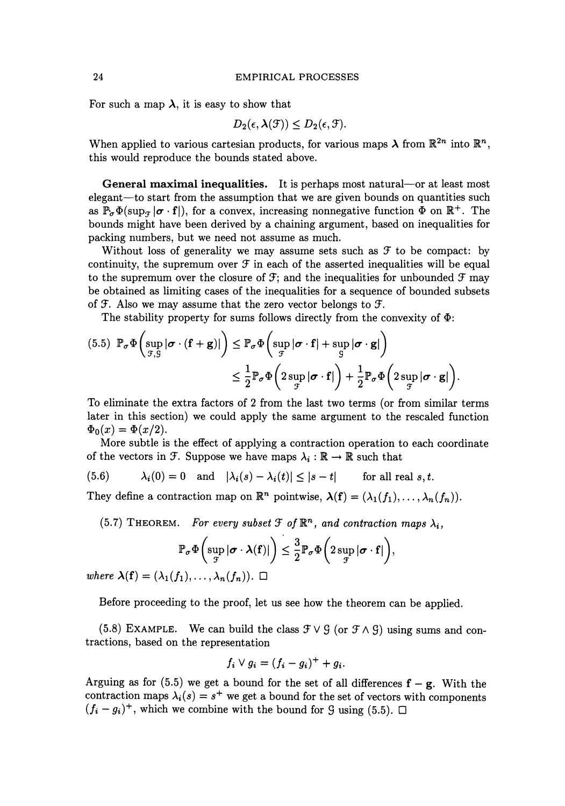For such a map  $\lambda$ , it is easy to show that

$$
D_2(\epsilon, \lambda(\mathcal{F})) \leq D_2(\epsilon, \mathcal{F}).
$$

When applied to various cartesian products, for various maps  $\lambda$  from  $\mathbb{R}^{2n}$  into  $\mathbb{R}^{n}$ . this would reproduee the bounds stated above.

General maximal inequalities. It is perhaps most natural-or at least most elegant—to start from the assumption that we are given bounds on quantities such as  $\mathbb{P}_{\sigma}\Phi(\sup_{\tau}|\sigma \cdot \mathbf{f}|)$ , for a convex, increasing nonnegative function  $\Phi$  on  $\mathbb{R}^+$ . The bounds might have been derived by a chaining argument, based on inequalities for packing numbers, but we need not assume as much.

Without loss of generality we may assume sets such as *g'* to be compact: by continuity, the supremum over  $\mathcal F$  in each of the asserted inequalities will be equal to the supremum over the closure of  $\mathcal{F}$ ; and the inequalities for unbounded  $\mathcal{F}$  may be obtained as limiting cases of the inequalities for a sequence of bounded subsets of  $\mathfrak F$ . Also we may assume that the zero vector belongs to  $\mathfrak F$ .

The stability property for sums follows directly from the convexity of  $\Phi$ :

$$
(5.5) \mathbb{P}_{\sigma} \Phi \left( \sup_{\mathcal{F}, \mathcal{G}} |\sigma \cdot (\mathbf{f} + \mathbf{g})| \right) \leq \mathbb{P}_{\sigma} \Phi \left( \sup_{\mathcal{F}} |\sigma \cdot \mathbf{f}| + \sup_{\mathcal{G}} |\sigma \cdot \mathbf{g}| \right) \n\leq \frac{1}{2} \mathbb{P}_{\sigma} \Phi \left( 2 \sup_{\mathcal{F}} |\sigma \cdot \mathbf{f}| \right) + \frac{1}{2} \mathbb{P}_{\sigma} \Phi \left( 2 \sup_{\mathcal{F}} |\sigma \cdot \mathbf{g}| \right).
$$

To eliminate the extra factors of 2 from the last two terms (or from similar terms later in this section) we could apply the same argument to the rescaled function  $\Phi_0(x) = \Phi(x/2).$ 

More subtle is the effect of applying a contraction operation to each coordinate of the vectors in  $\mathcal{F}$ . Suppose we have maps  $\lambda_i : \mathbb{R} \to \mathbb{R}$  such that

(5.6) 
$$
\lambda_i(0) = 0 \text{ and } |\lambda_i(s) - \lambda_i(t)| \leq |s - t| \quad \text{for all real } s, t.
$$

They define a contraction map on  $\mathbb{R}^n$  pointwise,  $\lambda(f) = (\lambda_1(f_1), \ldots, \lambda_n(f_n)).$ 

(5.7) THEOREM. *For every subset*  $\mathcal{F}$  of  $\mathbb{R}^n$ , and contraction maps  $\lambda_i$ ,

$$
\mathbb{P}_{\sigma} \Phi \left( \sup_{\mathcal{F}} |\sigma \cdot \lambda(\mathbf{f})| \right) \leq \frac{3}{2} \mathbb{P}_{\sigma} \Phi \left( 2 \sup_{\mathcal{F}} |\sigma \cdot \mathbf{f}| \right),
$$

*where*  $\lambda(f) = (\lambda_1(f_1), \ldots, \lambda_n(f_n)).$ 

Before proceeding to the proof, let us see how the theorem can be applied.

(5.8) EXAMPLE. We can build the class  $\mathcal{F} \vee \mathcal{G}$  (or  $\mathcal{F} \wedge \mathcal{G}$ ) using sums and contractions, based on the representation

$$
f_i \vee g_i = (f_i - g_i)^+ + g_i.
$$

Arguing as for  $(5.5)$  we get a bound for the set of all differences  $f-g$ . With the contraction maps  $\lambda_i(s) = s^+$  we get a bound for the set of vectors with components  $(f_i - g_i)^+$ , which we combine with the bound for 9 using (5.5).  $\Box$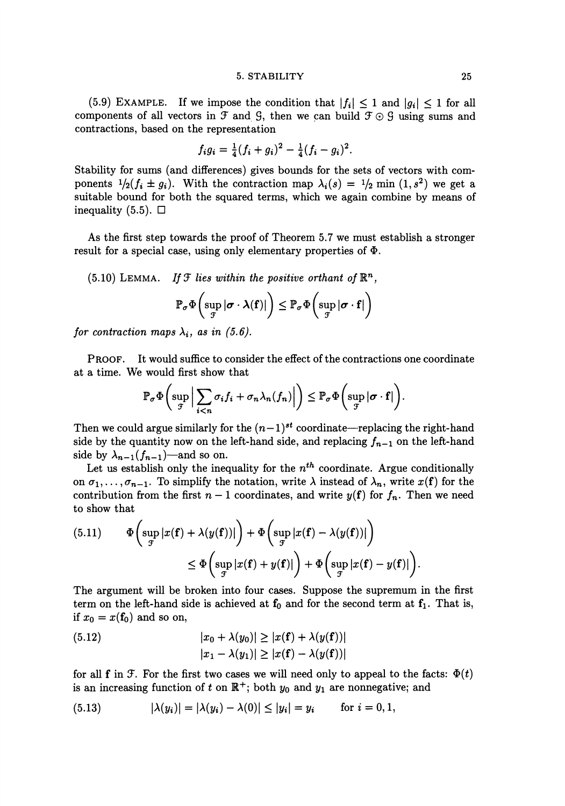#### 5. STABILITY 25

(5.9) EXAMPLE. If we impose the condition that  $|f_i| \leq 1$  and  $|g_i| \leq 1$  for all components of all vectors in  $\mathcal F$  and  $\mathcal G$ , then we can build  $\mathcal F \odot \mathcal G$  using sums and contractions, based on the representation

$$
f_i g_i = \frac{1}{4}(f_i + g_i)^2 - \frac{1}{4}(f_i - g_i)^2.
$$

Stability for sums (and differences) gives bounds for the sets of vectors with components  $1/2(f_i \pm g_i)$ . With the contraction map  $\lambda_i(s) = 1/2$  min  $(1, s^2)$  we get a suitable bound for both the squared terms, which we again combine by means of inequality  $(5.5)$ .  $\Box$ 

As the first step towards the proof of Theorem 5.7 we must establish a stronger result for a special case, using only elementary properties of  $\Phi$ .

(5.10) LEMMA. *If*  $\mathcal{F}$  *lies within the positive orthant of*  $\mathbb{R}^n$ ,

$$
\mathbb{P}_{\sigma} \Phi \left( \sup_{\mathcal{F}} |\sigma \cdot \lambda(\mathbf{f})| \right) \leq \mathbb{P}_{\sigma} \Phi \left( \sup_{\mathcal{F}} |\sigma \cdot \mathbf{f}| \right)
$$

*for contraction maps*  $\lambda_i$ , *as in (5.6).* 

PROOF. It would suffice to consider the effect of the contractions one coordinate at a time. We would first show that

$$
\mathbb{P}_{\sigma} \Phi\bigg(\sup_{\mathcal{F}} \Big|\sum_{i
$$

Then we could argue similarly for the  $(n-1)$ <sup>st</sup> coordinate—replacing the right-hand side by the quantity now on the left-hand side, and replacing  $f_{n-1}$  on the left-hand side by  $\lambda_{n-1}(f_{n-1})$ —and so on.

Let us establish only the inequality for the  $n^{th}$  coordinate. Argue conditionally on  $\sigma_1, \ldots, \sigma_{n-1}$ . To simplify the notation, write  $\lambda$  instead of  $\lambda_n$ , write  $x(f)$  for the contribution from the first  $n-1$  coordinates, and write  $y(f)$  for  $f_n$ . Then we need to show that

(5.11) 
$$
\Phi\left(\sup_{\mathcal{F}}|x(\mathbf{f})+\lambda(y(\mathbf{f}))|\right)+\Phi\left(\sup_{\mathcal{F}}|x(\mathbf{f})-\lambda(y(\mathbf{f}))|\right)
$$

$$
\leq \Phi\left(\sup_{\mathcal{F}}|x(\mathbf{f})+y(\mathbf{f})|\right)+\Phi\left(\sup_{\mathcal{F}}|x(\mathbf{f})-y(\mathbf{f})|\right).
$$

The argument will be broken into four cases. Suppose the supremum in the first term on the left-hand side is achieved at  $f_0$  and for the second term at  $f_1$ . That is, if  $x_0 = x(f_0)$  and so on,

(5.12) 
$$
|x_0 + \lambda(y_0)| \ge |x(\mathbf{f}) + \lambda(y(\mathbf{f}))|
$$

$$
|x_1 - \lambda(y_1)| \ge |x(\mathbf{f}) - \lambda(y(\mathbf{f}))|
$$

for all f in  $\mathcal{F}$ . For the first two cases we will need only to appeal to the facts:  $\Phi(t)$ is an increasing function of t on  $\mathbb{R}^+$ ; both  $y_0$  and  $y_1$  are nonnegative; and

(5.13) 
$$
|\lambda(y_i)| = |\lambda(y_i) - \lambda(0)| \le |y_i| = y_i \quad \text{for } i = 0, 1,
$$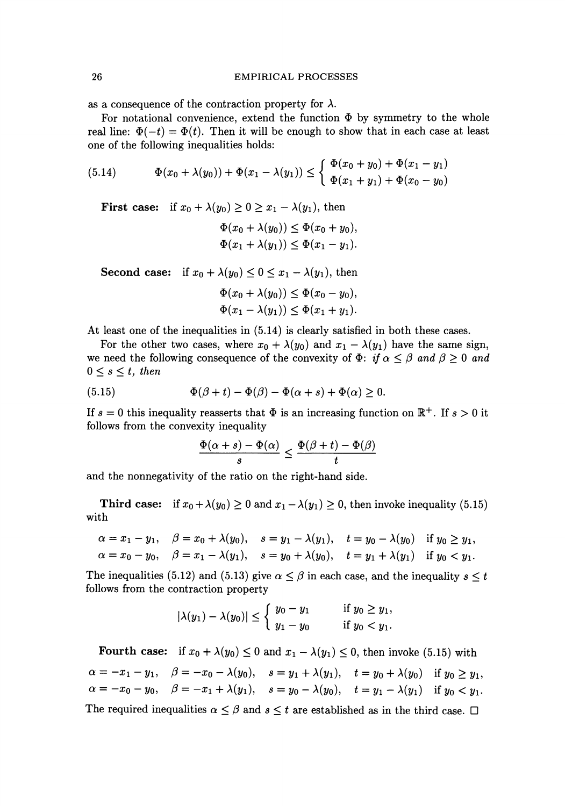as a consequence of the contraction property for  $\lambda$ .

For notational convenience, extend the function  $\Phi$  by symmetry to the whole real line:  $\Phi(-t) = \Phi(t)$ . Then it will be enough to show that in each case at least one of the following inequalities holds:

(5.14) 
$$
\Phi(x_0 + \lambda(y_0)) + \Phi(x_1 - \lambda(y_1)) \leq \begin{cases} \Phi(x_0 + y_0) + \Phi(x_1 - y_1) \\ \Phi(x_1 + y_1) + \Phi(x_0 - y_0) \end{cases}
$$

First case: if  $x_0 + \lambda(y_0) \geq 0 \geq x_1 - \lambda(y_1)$ , then

$$
\Phi(x_0 + \lambda(y_0)) \leq \Phi(x_0 + y_0),
$$
  

$$
\Phi(x_1 + \lambda(y_1)) \leq \Phi(x_1 - y_1).
$$

**Second case:** if  $x_0 + \lambda(y_0) \leq 0 \leq x_1 - \lambda(y_1)$ , then

$$
\Phi(x_0 + \lambda(y_0)) \leq \Phi(x_0 - y_0),
$$
  

$$
\Phi(x_1 - \lambda(y_1)) \leq \Phi(x_1 + y_1).
$$

At least one of the inequalities in (5.14) is clearly satisfied in both these cases.

For the other two cases, where  $x_0 + \lambda(y_0)$  and  $x_1 - \lambda(y_1)$  have the same sign, we need the following consequence of the convexity of  $\Phi$ : *if*  $\alpha \leq \beta$  *and*  $\beta \geq 0$  *and*  $0 \leq s \leq t$ , then

(5.15) 
$$
\Phi(\beta + t) - \Phi(\beta) - \Phi(\alpha + s) + \Phi(\alpha) \geq 0.
$$

If  $s = 0$  this inequality reasserts that  $\Phi$  is an increasing function on  $\mathbb{R}^+$ . If  $s > 0$  it follows from the convexity inequality

$$
\frac{\Phi(\alpha+s)-\Phi(\alpha)}{s}\leq \frac{\Phi(\beta+t)-\Phi(\beta)}{t}
$$

and the nonnegativity of the ratio on the right-hand side.

Third case: if  $x_0 + \lambda(y_0) \ge 0$  and  $x_1 - \lambda(y_1) \ge 0$ , then invoke inequality (5.15) with

$$
\alpha = x_1 - y_1, \quad \beta = x_0 + \lambda(y_0), \quad s = y_1 - \lambda(y_1), \quad t = y_0 - \lambda(y_0) \quad \text{if } y_0 \ge y_1, \\ \alpha = x_0 - y_0, \quad \beta = x_1 - \lambda(y_1), \quad s = y_0 + \lambda(y_0), \quad t = y_1 + \lambda(y_1) \quad \text{if } y_0 < y_1.
$$

The inequalities (5.12) and (5.13) give  $\alpha \leq \beta$  in each case, and the inequality  $s \leq t$ follows from the contraction property

$$
|\lambda(y_1) - \lambda(y_0)| \le \begin{cases} y_0 - y_1 & \text{if } y_0 \ge y_1, \\ y_1 - y_0 & \text{if } y_0 < y_1. \end{cases}
$$

Fourth case: if  $x_0 + \lambda(y_0) \leq 0$  and  $x_1 - \lambda(y_1) \leq 0$ , then invoke (5.15) with  $\alpha = -x_1 - y_1, \quad \beta = -x_0 - \lambda(y_0), \quad s = y_1 + \lambda(y_1), \quad t = y_0 + \lambda(y_0) \quad \text{if } y_0 \geq y_1,$  $\alpha = -x_0 - y_0, \quad \beta = -x_1 + \lambda(y_1), \quad s = y_0 - \lambda(y_0), \quad t = y_1 - \lambda(y_1) \quad \text{if } y_0 < y_1.$ The required inequalities  $\alpha \leq \beta$  and  $s \leq t$  are established as in the third case.  $\Box$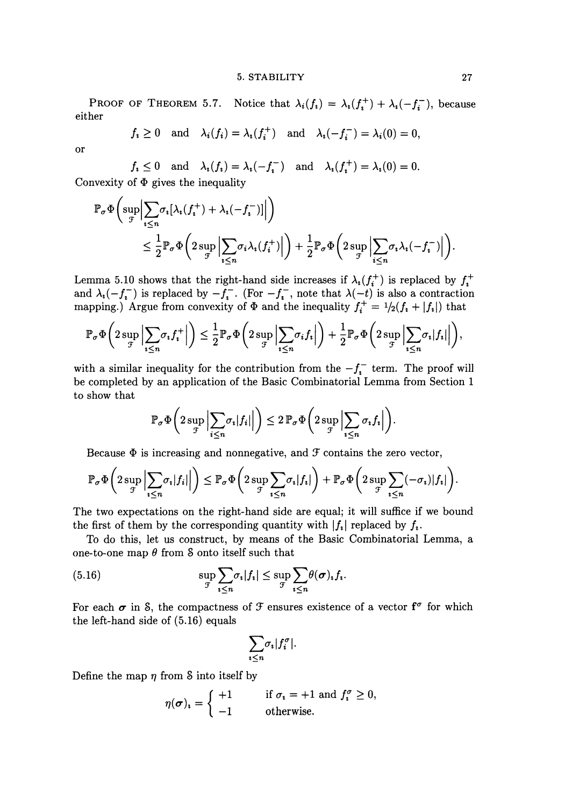#### 5. STABILITY 27

PROOF OF THEOREM 5.7. Notice that  $\lambda_i(f_i) = \lambda_i(f_i^+) + \lambda_i(-f_i^-)$ , because either

$$
f_i \ge 0
$$
 and  $\lambda_i(f_i) = \lambda_i(f_i^+)$  and  $\lambda_i(-f_i^-) = \lambda_i(0) = 0$ ,

or

 $f_i \leq 0$  and  $\lambda_i(f_i) = \lambda_i(-f_i^-)$  and  $\lambda_i(f_i^+) = \lambda_i(0) = 0.$ Convexity of  $\Phi$  gives the inequality

$$
\mathbb{P}_{\sigma} \Phi \bigg( \sup_{\mathcal{F}} \Big| \sum_{i \leq n} \sigma_i [\lambda_i(f_i^+) + \lambda_i(-f_i^-)] \Big| \bigg) \n\leq \frac{1}{2} \mathbb{P}_{\sigma} \Phi \bigg( 2 \sup_{\mathcal{F}} \Big| \sum_{i \leq n} \sigma_i \lambda_i(f_i^+) \Big| \bigg) + \frac{1}{2} \mathbb{P}_{\sigma} \Phi \bigg( 2 \sup_{\mathcal{F}} \Big| \sum_{i \leq n} \sigma_i \lambda_i(-f_i^-) \Big| \bigg).
$$

Lemma 5.10 shows that the right-hand side increases if  $\lambda_i(f_i^+)$  is replaced by  $f_i^+$ and  $\lambda_i(-f_i^-)$  is replaced by  $-f_i^-$ . (For  $-f_i^-$ , note that  $\lambda(-t)$  is also a contraction mapping.) Argue from convexity of  $\Phi$  and the inequality  $f_i^+ = 1/2(f_i + |f_i|)$  that

$$
\mathbb{P}_{\sigma}\Phi\bigg(2\sup_{\mathcal{F}}\Big|\sum_{i\leq n}\sigma_if_i^+\Big|\bigg)\leq \frac{1}{2}\mathbb{P}_{\sigma}\Phi\bigg(2\sup_{\mathcal{F}}\Big|\sum_{i\leq n}\sigma_if_i\Big|\bigg)+\frac{1}{2}\mathbb{P}_{\sigma}\Phi\bigg(2\sup_{\mathcal{F}}\Big|\sum_{i\leq n}\sigma_i|f_i|\Big|\bigg),
$$

with a similar inequality for the contribution from the  $-f_i^-$  term. The proof will be completed by an application of the Basic Combinatorial Lemma from Section 1 to show that

$$
\mathbb{P}_{\sigma} \Phi\bigg(2 \sup_{\mathcal{F}} \Big|\sum_{i \leq n} \sigma_i |f_i|\Big|\bigg) \leq 2 \, \mathbb{P}_{\sigma} \Phi\bigg(2 \sup_{\mathcal{F}} \Big|\sum_{i \leq n} \sigma_i f_i\Big|\bigg).
$$

Because  $\Phi$  is increasing and nonnegative, and  $\mathcal F$  contains the zero vector,

$$
\mathbb{P}_{\sigma} \Phi\left(2 \sup_{\mathcal{F}} \left|\sum_{i \leq n} \sigma_i |f_i|\right|\right) \leq \mathbb{P}_{\sigma} \Phi\left(2 \sup_{\mathcal{F}} \sum_{i \leq n} \sigma_i |f_i|\right) + \mathbb{P}_{\sigma} \Phi\left(2 \sup_{\mathcal{F}} \sum_{i \leq n} (-\sigma_i) |f_i|\right).
$$

The two expectations on the right-hand side are equal; it will suffice if we bound the first of them by the corresponding quantity with  $|f_i|$  replaced by  $f_i$ .

To do this, let us construct, by means of the Basic Combinatorial Lemma, a one-to-one map  $\theta$  from S onto itself such that

(5.16) 
$$
\sup_{\mathcal{F}} \sum_{i \leq n} \sigma_i |f_i| \leq \sup_{\mathcal{F}} \sum_{i \leq n} \theta(\sigma)_i f_i.
$$

For each  $\sigma$  in S, the compactness of  $\mathcal F$  ensures existence of a vector  $f^{\sigma}$  for which the left-hand side of (5.16) equals

$$
\sum_{i\leq n}\sigma_i|f_i^{\sigma}|.
$$

Define the map  $\eta$  from S into itself by

$$
\eta(\sigma)_i = \begin{cases} +1 & \text{if } \sigma_i = +1 \text{ and } f_i^{\sigma} \ge 0, \\ -1 & \text{otherwise.} \end{cases}
$$